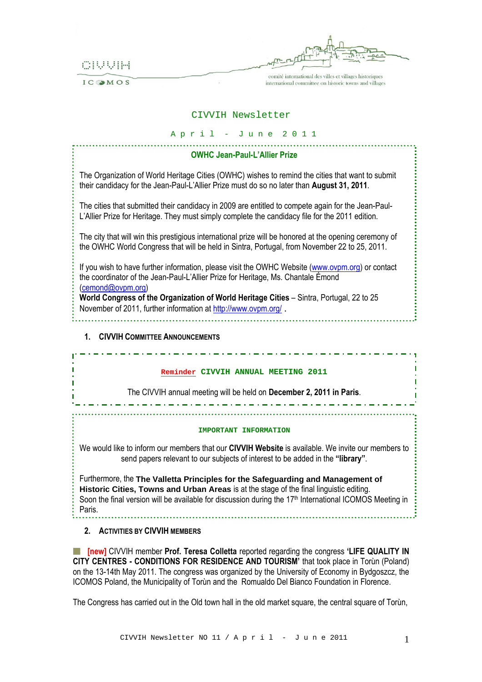

IC MOS

comité international des villes et villages historiques international committee on historic towns and villages

## CIVVIH Newsletter

| April - June 2011 |  |  |  |  |  |  |  |  |  |  |
|-------------------|--|--|--|--|--|--|--|--|--|--|
|-------------------|--|--|--|--|--|--|--|--|--|--|

| <b>OWHC Jean-Paul-L'Allier Prize</b>                                                                                                                                                                      |
|-----------------------------------------------------------------------------------------------------------------------------------------------------------------------------------------------------------|
| The Organization of World Heritage Cities (OWHC) wishes to remind the cities that want to submit<br>their candidacy for the Jean-Paul-L'Allier Prize must do so no later than August 31, 2011.            |
| The cities that submitted their candidacy in 2009 are entitled to compete again for the Jean-Paul-<br>L'Allier Prize for Heritage. They must simply complete the candidacy file for the 2011 edition.     |
| The city that will win this prestigious international prize will be honored at the opening ceremony of<br>the OWHC World Congress that will be held in Sintra, Portugal, from November 22 to 25, 2011.    |
| If you wish to have further information, please visit the OWHC Website (www.ovpm.org) or contact<br>the coordinator of the Jean-Paul-L'Allier Prize for Heritage, Ms. Chantale Émond<br>(cemond@ovpm.org) |
| World Congress of the Organization of World Heritage Cities - Sintra, Portugal, 22 to 25<br>November of 2011, further information at http://www.ovpm.org/.                                                |

#### **1. CIVVIH COMMITTEE ANNOUNCEMENTS**

#### **Reminder CIVVIH ANNUAL MEETING 2011**

والمستوفي والمساري المساري المساري المساري المساري المساري المساري المساري

The CIVVIH annual meeting will be held on **December 2, 2011 in Paris**.

#### **IMPORTANT INFORMATION**

We would like to inform our members that our **CIVVIH Website** is available. We invite our members to send papers relevant to our subjects of interest to be added in the **"library"**.

Furthermore, the **The Valletta Principles for the Safeguarding and Management of Historic Cities, Towns and Urban Areas** is at the stage of the final linguistic editing. Soon the final version will be available for discussion during the 17<sup>th</sup> International ICOMOS Meeting in Paris.

**2. ACTIVITIES BY CIVVIH MEMBERS**

**[new]** CIVVIH member **Prof. Teresa Colletta** reported regarding the congress **'LIFE QUALITY IN CITY CENTRES - CONDITIONS FOR RESIDENCE AND TOURISM'** that took place in Torùn (Poland) on the 13-14th May 2011. The congress was organized by the University of Economy in Bydgoszcz, the ICOMOS Poland, the Municipality of Torùn and the Romualdo Del Bianco Foundation in Florence.

The Congress has carried out in the Old town hall in the old market square, the central square of Torùn,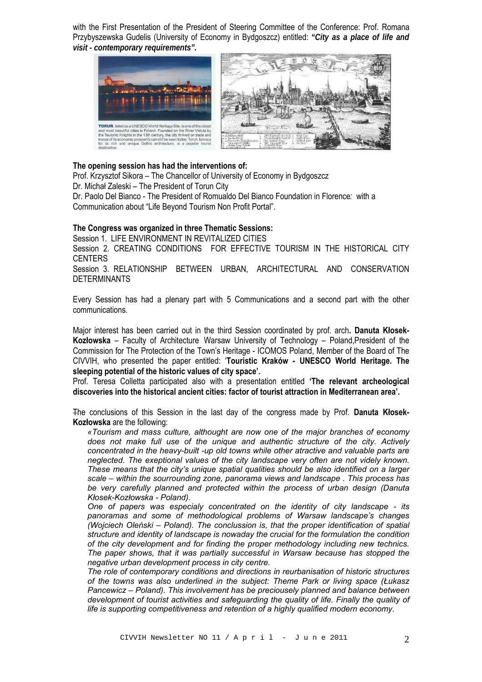with the First Presentation of the President of Steering Committee of the Conference: Prof. Romana Przybyszewska Gudelis (University of Economy in Bydgoszcz) entitled: *"City as a place of life and visit - contemporary requirements".*



#### **The opening session has had the interventions of:**

Prof. Krzysztof Sikora – The Chancellor of University of Economy in Bydgoszcz

Dr. Michał Zaleski – The President of Torun City

Dr. Paolo Del Bianco - The President of Romualdo Del Bianco Foundation in Florence*:* with a Communication about "Life Beyond Tourism Non Profit Portal".

# **The Congress was organized in three Thematic Sessions:**

Session 1. LIFE ENVIRONMENT IN REVITALIZED CITIES

Session 2. CREATING CONDITIONS FOR EFFECTIVE TOURISM IN THE HISTORICAL CITY **CENTERS** 

Session 3. RELATIONSHIP BETWEEN URBAN, ARCHITECTURAL AND CONSERVATION **DETERMINANTS** 

Every Session has had a plenary part with 5 Communications and a second part with the other communications.

Major interest has been carried out in the third Session coordinated by prof. arch**. Danuta Kłosek-Kozłowska** – Faculty of Architecture Warsaw University of Technology – Poland,President of the Commission for The Protection of the Town's Heritage - ICOMOS Poland, Member of the Board of The CIVVIH, who presented the paper entitled: '**Touristic Kraków - UNESCO World Heritage. The sleeping potential of the historic values of city space'.**

Prof. Teresa Colletta participated also with a presentation entitled **'The relevant archeological discoveries into the historical ancient cities: factor of tourist attraction in Mediterranean area'.** 

The conclusions of this Session in the last day of the congress made by Prof. **Danuta Kłosek-Kozłowska** are the following:

*«Tourism and mass culture, althought are now one of the major branches of economy does not make full use of the unique and authentic structure of the city. Actively concentrated in the heavy-built -up old towns while other atractive and valuable parts are neglected. The exeptional values of the city landscape very often are not videly known. These means that the city's unique spatial qualities should be also identified on a larger scale – within the sourrounding zone, panorama views and landscape . This process has be very carefully planned and protected within the process of urban design (Danuta Kłosek-Kozłowska - Poland).* 

*One of papers was especialy concentrated on the identity of city landscape - its panoramas and some of methodological problems of Warsaw landscape's changes (Wojciech Oleński – Poland). The conclussion is, that the proper identification of spatial structure and identity of landscape is nowaday the crucial for the formulation the condition of the city development and for finding the proper methodology including new technics. The paper shows, that it was partially successful in Warsaw because has stopped the negative urban development process in city centre.* 

*The role of contemporary conditions and directions in reurbanisation of historic structures of the towns was also underlined in the subject: Theme Park or living space (Łukasz Pancewicz – Poland). This involvement has be preciousely planned and balance between development of tourist activities and safeguarding the quality of life. Finally the quality of life is supporting competitiveness and retention of a highly qualified modern economy.*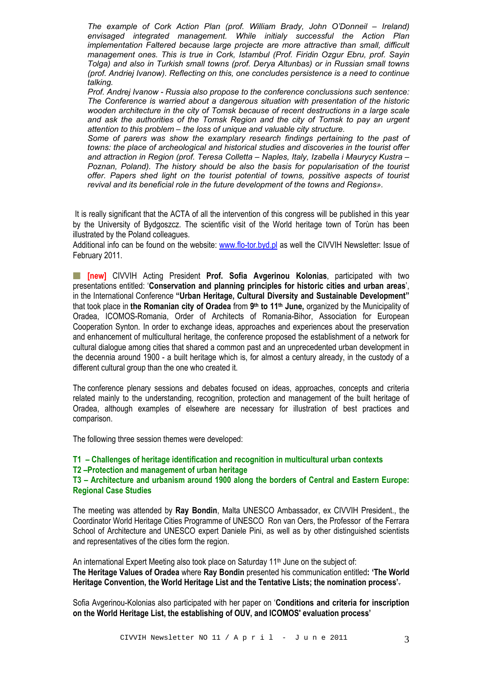*The example of Cork Action Plan (prof. William Brady, John O'Donneil – Ireland) envisaged integrated management. While initialy successful the Action Plan implementation Faltered because large projecte are more attractive than small, difficult management ones. This is true in Cork, Istambul (Prof. Firidin Ozgur Ebru, prof. Sayin Tolga) and also in Turkish small towns (prof. Derya Altunbas) or in Russian small towns (prof. Andriej Ivanow). Reflecting on this, one concludes persistence is a need to continue talking.* 

*Prof. Andrej Ivanow - Russia also propose to the conference conclussions such sentence: The Conference is warried about a dangerous situation with presentation of the historic wooden architecture in the city of Tomsk because of recent destructions in a large scale and ask the authorities of the Tomsk Region and the city of Tomsk to pay an urgent attention to this problem – the loss of unique and valuable city structure.* 

*Some of parers was show the examplary research findings pertaining to the past of towns: the place of archeological and historical studies and discoveries in the tourist offer and attraction in Region (prof. Teresa Colletta – Naples, Italy, Izabella i Maurycy Kustra – Poznan, Poland). The history should be also the basis for popularisation of the tourist offer. Papers shed light on the tourist potential of towns, possitive aspects of tourist revival and its beneficial role in the future development of the towns and Regions».* 

 It is really significant that the ACTA of all the intervention of this congress will be published in this year by the University of Bydgoszcz. The scientific visit of the World heritage town of Torùn has been illustrated by the Poland colleagues.

Additional info can be found on the website: [www.flo-tor.byd.pl](http://www.flo-tor.byd.pl/) as well the CIVVIH Newsletter: Issue of February 2011.

**[new]** CIVVIH Acting President **Prof. Sofia Avgerinou Kolonias**, participated with two presentations entitled: '**Conservation and planning principles for historic cities and urban areas**', in the International Conference **"Urban Heritage, Cultural Diversity and Sustainable Development"**  that took place in **the Romanian city of Oradea** from **9th to 11th June,** organized by the Municipality of Oradea, ICOMOS-Romania, Order of Architects of Romania-Bihor, Association for European Cooperation Synton. In order to exchange ideas, approaches and experiences about the preservation and enhancement of multicultural heritage, the conference proposed the establishment of a network for cultural dialogue among cities that shared a common past and an unprecedented urban development in the decennia around 1900 - a built heritage which is, for almost a century already, in the custody of a different cultural group than the one who created it.

The conference plenary sessions and debates focused on ideas, approaches, concepts and criteria related mainly to the understanding, recognition, protection and management of the built heritage of Oradea, although examples of elsewhere are necessary for illustration of best practices and comparison.

The following three session themes were developed:

# **T1 – Challenges of heritage identification and recognition in multicultural urban contexts**

#### **T2 –Protection and management of urban heritage**

**T3 – Architecture and urbanism around 1900 along the borders of Central and Eastern Europe: Regional Case Studies** 

The meeting was attended by **Ray Bondin**, Malta UNESCO Ambassador, ex CIVVIH President., the Coordinator World Heritage Cities Programme of UNESCO Ron van Oers, the Professor of the Ferrara School of Architecture and UNESCO expert Daniele Pini, as well as by other distinguished scientists and representatives of the cities form the region.

An international Expert Meeting also took place on Saturday 11<sup>th</sup> June on the subject of: **The Heritage Values of Oradea** where **Ray Bondin** presented his communication entitled**: 'The World Heritage Convention, the World Heritage List and the Tentative Lists; the nomination process'**.

Sofia Avgerinou-Kolonias also participated with her paper on '**Conditions and criteria for inscription on the World Heritage List, the establishing of OUV, and ICOMOS' evaluation process'**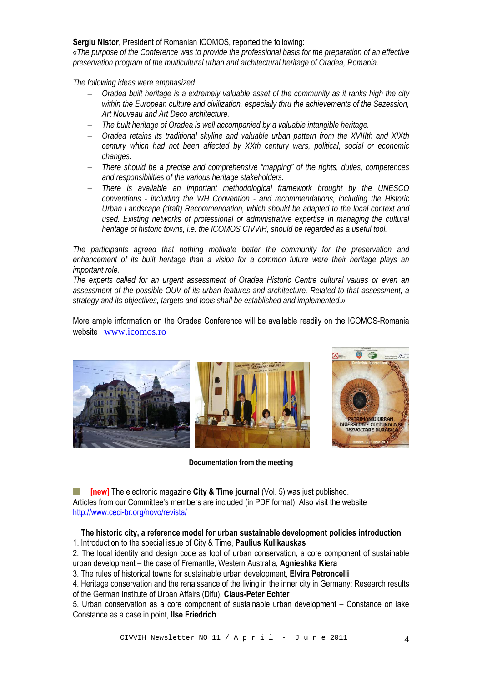#### **Sergiu Nistor**, President of Romanian ICOMOS, reported the following:

*«The purpose of the Conference was to provide the professional basis for the preparation of an effective preservation program of the multicultural urban and architectural heritage of Oradea, Romania.* 

*The following ideas were emphasized:* 

- *Oradea built heritage is a extremely valuable asset of the community as it ranks high the city within the European culture and civilization, especially thru the achievements of the Sezession, Art Nouveau and Art Deco architecture.*
- *The built heritage of Oradea is well accompanied by a valuable intangible heritage.*
- *Oradea retains its traditional skyline and valuable urban pattern from the XVIIIth and XIXth century which had not been affected by XXth century wars, political, social or economic changes.*
- *There should be a precise and comprehensive "mapping" of the rights, duties, competences and responsibilities of the various heritage stakeholders.*
- *There is available an important methodological framework brought by the UNESCO conventions - including the WH Convention - and recommendations, including the Historic Urban Landscape (draft) Recommendation, which should be adapted to the local context and used. Existing networks of professional or administrative expertise in managing the cultural heritage of historic towns, i.e. the ICOMOS CIVVIH, should be regarded as a useful tool.*

*The participants agreed that nothing motivate better the community for the preservation and enhancement of its built heritage than a vision for a common future were their heritage plays an important role.* 

*The experts called for an urgent assessment of Oradea Historic Centre cultural values or even an assessment of the possible OUV of its urban features and architecture. Related to that assessment, a strategy and its objectives, targets and tools shall be established and implemented.»* 

More ample information on the Oradea Conference will be available readily on the ICOMOS-Romania website [www.icomos.ro](http://www.icomos.ro/)



**Documentation from the meeting** 



**If [new]** The electronic magazine **City & Time journal** (Vol. 5) was just published. Articles from our Committee's members are included (in PDF format). Also visit the website <http://www.ceci-br.org/novo/revista/>

## **The historic city, a reference model for urban sustainable development policies introduction**

1. Introduction to the special issue of City & Time, **Paulius Kulikauskas**

2. The local identity and design code as tool of urban conservation, a core component of sustainable urban development – the case of Fremantle, Western Australia, **Agnieshka Kiera**

3. The rules of historical towns for sustainable urban development, **Elvira Petroncelli**

4. Heritage conservation and the renaissance of the living in the inner city in Germany: Research results of the German Institute of Urban Affairs (Difu), **Claus-Peter Echter**

5. Urban conservation as a core component of sustainable urban development – Constance on lake Constance as a case in point, **Ilse Friedrich**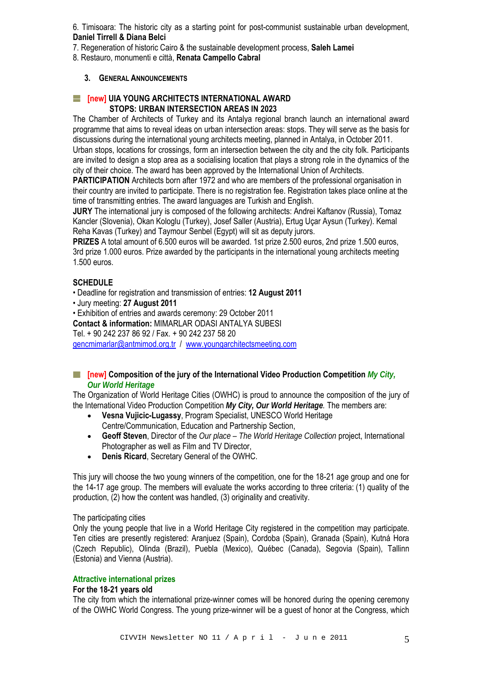6. Timisoara: The historic city as a starting point for post-communist sustainable urban development, **Daniel Tirrell & Diana Belci**

7. Regeneration of historic Cairo & the sustainable development process, **Saleh Lamei**

8. Restauro, monumenti e città, **Renata Campello Cabral**

## **3. GENERAL ANNOUNCEMENTS**

## **[inew] UIA YOUNG ARCHITECTS INTERNATIONAL AWARD STOPS: URBAN INTERSECTION AREAS IN 2023**

The Chamber of Architects of Turkey and its Antalya regional branch launch an international award programme that aims to reveal ideas on urban intersection areas: stops. They will serve as the basis for discussions during the international young architects meeting, planned in Antalya, in October 2011. Urban stops, locations for crossings, form an intersection between the city and the city folk. Participants are invited to design a stop area as a socialising location that plays a strong role in the dynamics of the city of their choice. The award has been approved by the International Union of Architects.

**PARTICIPATION** Architects born after 1972 and who are members of the professional organisation in their country are invited to participate. There is no registration fee. Registration takes place online at the time of transmitting entries. The award languages are Turkish and English.

**JURY** The international jury is composed of the following architects: Andrei Kaftanov (Russia), Tomaz Kancler (Slovenia), Okan Kologlu (Turkey), Josef Saller (Austria), Ertug Uçar Aysun (Turkey). Kemal Reha Kavas (Turkey) and Taymour Senbel (Egypt) will sit as deputy jurors.

**PRIZES** A total amount of 6.500 euros will be awarded. 1st prize 2.500 euros, 2nd prize 1.500 euros, 3rd prize 1.000 euros. Prize awarded by the participants in the international young architects meeting 1.500 euros.

## **SCHEDULE**

• Deadline for registration and transmission of entries: **12 August 2011**

• Jury meeting: **27 August 2011**

• Exhibition of entries and awards ceremony: 29 October 2011 **Contact & information:** MIMARLAR ODASI ANTALYA SUBESI Tel. + 90 242 237 86 92 / Fax. + 90 242 237 58 20 [gencmimarlar@antmimod.org.tr](mailto:gencmimarlar@antmimod.org.tr) / www.youngarchitectsmeeting.com

## **[i] [new] Composition of the jury of the International Video Production Competition** *My City, Our World Heritage*

The Organization of World Heritage Cities (OWHC) is proud to announce the composition of the jury of the International Video Production Competition *My City, Our World Heritage.* The members are:

- **Vesna Vujicic-Lugassy**, Program Specialist, UNESCO World Heritage Centre/Communication, Education and Partnership Section,
- **Geoff Steven**, Director of the *Our place The World Heritage Collection* project, International Photographer as well as Film and TV Director,
- **Denis Ricard**, Secretary General of the OWHC.

This jury will choose the two young winners of the competition, one for the 18-21 age group and one for the 14-17 age group. The members will evaluate the works according to three criteria: (1) quality of the production, (2) how the content was handled, (3) originality and creativity.

#### The participating cities

Only the young people that live in a World Heritage City registered in the competition may participate. Ten cities are presently registered: Aranjuez (Spain), Cordoba (Spain), Granada (Spain), Kutná Hora (Czech Republic), Olinda (Brazil), Puebla (Mexico), Québec (Canada), Segovia (Spain), Tallinn (Estonia) and Vienna (Austria).

### **Attractive international prizes**

#### **For the 18-21 years old**

The city from which the international prize-winner comes will be honored during the opening ceremony of the OWHC World Congress. The young prize-winner will be a guest of honor at the Congress, which